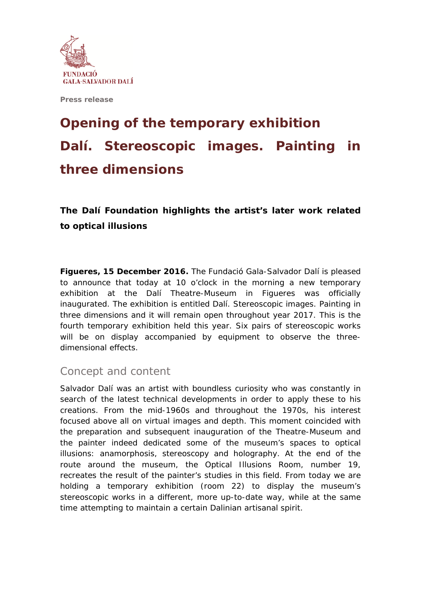

**Press release** 

## **Opening of the temporary exhibition**  *Dalí. Stereoscopic images. Painting in three dimensions*

**The Dalí Foundation highlights the artist's later work related to optical illusions** 

**Figueres, 15 December 2016.** The Fundació Gala-Salvador Dalí is pleased to announce that today at 10 o'clock in the morning a new temporary exhibition at the Dalí Theatre-Museum in Figueres was officially inaugurated. The exhibition is entitled *Dalí. Stereoscopic images. Painting in three dimensions* and it will remain open throughout year 2017. This is the fourth temporary exhibition held this year. Six pairs of stereoscopic works will be on display accompanied by equipment to observe the threedimensional effects.

## Concept and content

Salvador Dalí was an artist with boundless curiosity who was constantly in search of the latest technical developments in order to apply these to his creations. From the mid-1960s and throughout the 1970s, his interest focused above all on virtual images and depth. This moment coincided with the preparation and subsequent inauguration of the Theatre-Museum and the painter indeed dedicated some of the museum's spaces to optical illusions: anamorphosis, stereoscopy and holography. At the end of the route around the museum, the Optical Illusions Room, number 19, recreates the result of the painter's studies in this field. From today we are holding a temporary exhibition (room 22) to display the museum's stereoscopic works in a different, more up-to-date way, while at the same time attempting to maintain a certain Dalinian *artisanal* spirit.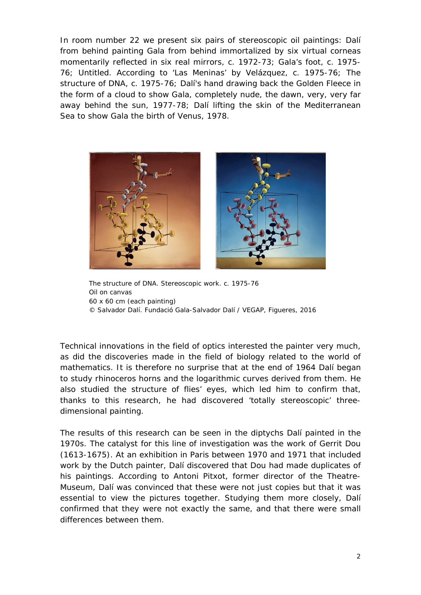In room number 22 we present six pairs of stereoscopic oil paintings: *Dalí from behind painting Gala from behind immortalized by six virtual corneas momentarily reflected in six real mirrors,* c. 1972-73; *Gala's foot,* c. 1975- 76; *Untitled. According to 'Las Meninas' by Velázquez,* c. 1975-76; *The structure of DNA*, c. 1975-76; *Dalí's hand drawing back the Golden Fleece in the form of a cloud to show Gala, completely nude, the dawn, very, very far away behind the sun,* 1977-78; *Dalí lifting the skin of the Mediterranean Sea to show Gala the birth of Venus*, 1978.



*The structure of DNA.* Stereoscopic work. c. 1975-76 Oil on canvas 60 x 60 cm (each painting) © Salvador Dalí. Fundació Gala-Salvador Dalí / VEGAP, Figueres, 2016

Technical innovations in the field of optics interested the painter very much, as did the discoveries made in the field of biology related to the world of mathematics. It is therefore no surprise that at the end of 1964 Dalí began to study rhinoceros horns and the logarithmic curves derived from them. He also studied the structure of flies' eyes, which led him to confirm that, thanks to this research, he had discovered 'totally stereoscopic' threedimensional painting.

The results of this research can be seen in the diptychs Dalí painted in the 1970s. The catalyst for this line of investigation was the work of Gerrit Dou (1613-1675). At an exhibition in Paris between 1970 and 1971 that included work by the Dutch painter, Dalí discovered that Dou had made duplicates of his paintings. According to Antoni Pitxot, former director of the Theatre-Museum, Dalí was convinced that these were not just copies but that it was essential to view the pictures together. Studying them more closely, Dalí confirmed that they were not exactly the same, and that there were small differences between them.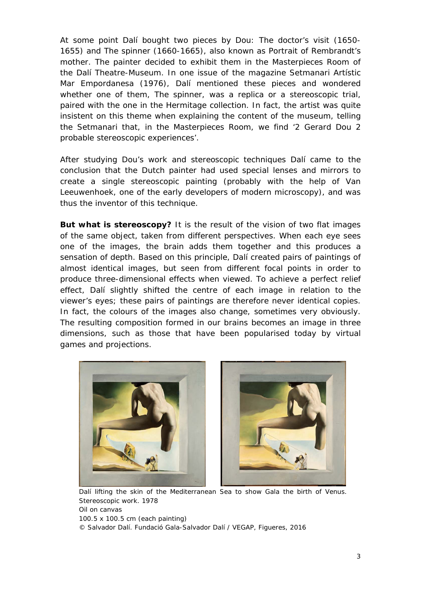At some point Dalí bought two pieces by Dou: *The doctor's visit* (1650- 1655) and *The spinner* (1660-1665), also known as *Portrait of Rembrandt's mother*. The painter decided to exhibit them in the Masterpieces Room of the Dalí Theatre-Museum. In one issue of the magazine *Setmanari Artístic Mar Empordanesa* (1976), Dalí mentioned these pieces and wondered whether one of them, *The spinner*, was a replica or a stereoscopic trial, paired with the one in the Hermitage collection. In fact, the artist was quite insistent on this theme when explaining the content of the museum, telling the *Setmanari* that, in the Masterpieces Room, we find '2 Gerard Dou 2 probable stereoscopic experiences'.

After studying Dou's work and stereoscopic techniques Dalí came to the conclusion that the Dutch painter had used special lenses and mirrors to create a single stereoscopic painting (probably with the help of Van Leeuwenhoek, one of the early developers of modern microscopy), and was thus the inventor of this technique.

**But what is stereoscopy?** It is the result of the vision of two flat images of the same object, taken from different perspectives. When each eye sees one of the images, the brain adds them together and this produces a sensation of depth. Based on this principle, Dalí created pairs of paintings of almost identical images, but seen from different focal points in order to produce three-dimensional effects when viewed. To achieve a perfect relief effect, Dalí slightly shifted the centre of each image in relation to the viewer's eyes; these pairs of paintings are therefore never identical copies. In fact, the colours of the images also change, sometimes very obviously. The resulting composition formed in our brains becomes an image in three dimensions, such as those that have been popularised today by virtual games and projections.



*Dalí lifting the skin of the Mediterranean Sea to show Gala the birth of Venus*. Stereoscopic work. 1978 Oil on canvas 100.5 x 100.5 cm (each painting) © Salvador Dalí. Fundació Gala-Salvador Dalí / VEGAP, Figueres, 2016